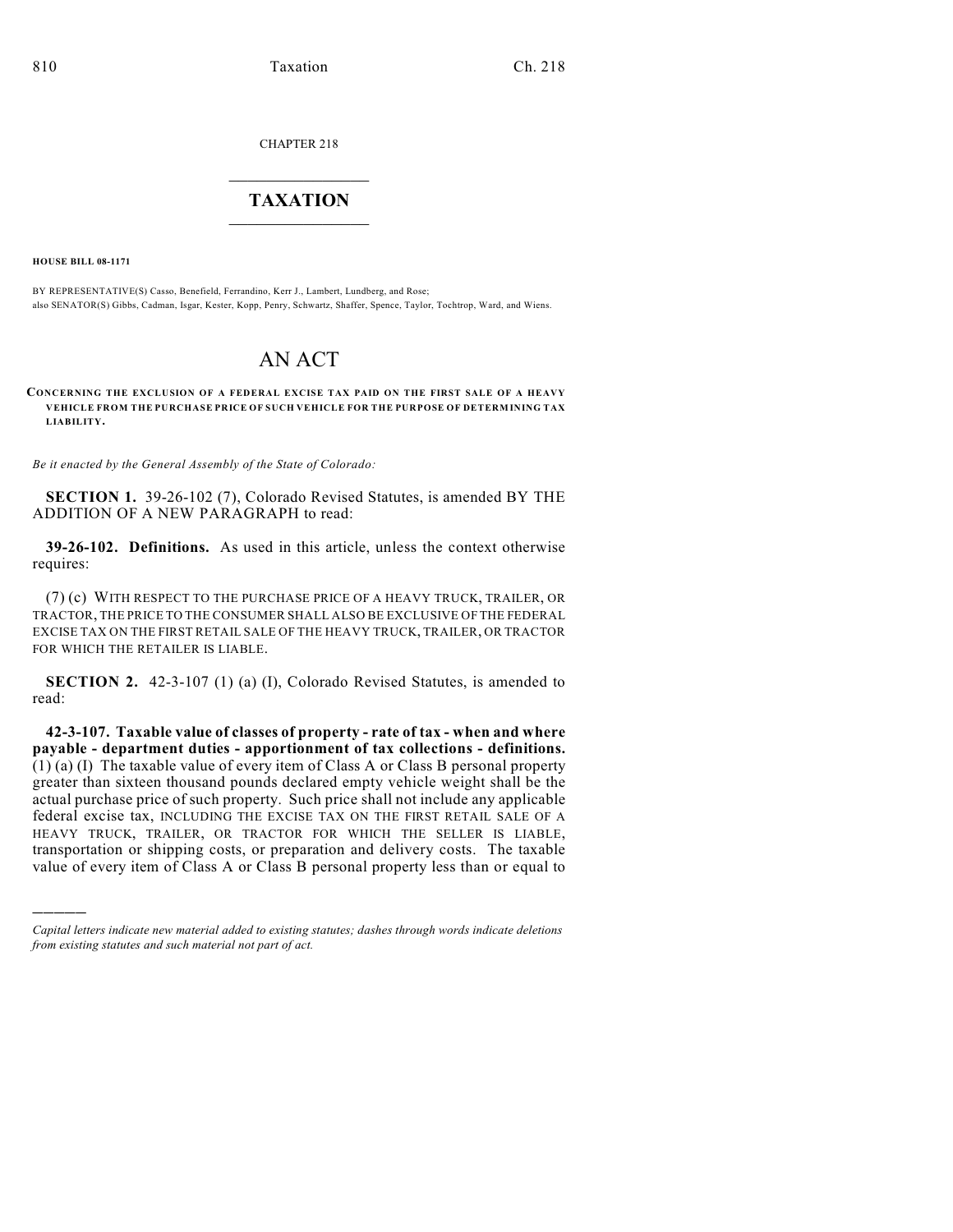CHAPTER 218

## $\mathcal{L}_\text{max}$  . The set of the set of the set of the set of the set of the set of the set of the set of the set of the set of the set of the set of the set of the set of the set of the set of the set of the set of the set **TAXATION**  $\_$

**HOUSE BILL 08-1171**

)))))

BY REPRESENTATIVE(S) Casso, Benefield, Ferrandino, Kerr J., Lambert, Lundberg, and Rose; also SENATOR(S) Gibbs, Cadman, Isgar, Kester, Kopp, Penry, Schwartz, Shaffer, Spence, Taylor, Tochtrop, Ward, and Wiens.

## AN ACT

**CONCERNING THE EXCLUSION OF A FEDERAL EXCISE TAX PAID ON THE FIRST SALE OF A HEAVY VEHICLE FROM THE PURCHASE PRICE OF SUCH VEHICLE FOR THE PURPOSE OF DETERMINING TAX LIABILITY.**

*Be it enacted by the General Assembly of the State of Colorado:*

**SECTION 1.** 39-26-102 (7), Colorado Revised Statutes, is amended BY THE ADDITION OF A NEW PARAGRAPH to read:

**39-26-102. Definitions.** As used in this article, unless the context otherwise requires:

(7) (c) WITH RESPECT TO THE PURCHASE PRICE OF A HEAVY TRUCK, TRAILER, OR TRACTOR, THE PRICE TO THE CONSUMER SHALL ALSO BE EXCLUSIVE OF THE FEDERAL EXCISE TAX ON THE FIRST RETAIL SALE OF THE HEAVY TRUCK, TRAILER, OR TRACTOR FOR WHICH THE RETAILER IS LIABLE.

**SECTION 2.** 42-3-107 (1) (a) (I), Colorado Revised Statutes, is amended to read:

**42-3-107. Taxable value of classes of property - rate of tax - when and where payable - department duties - apportionment of tax collections - definitions.** (1) (a) (I) The taxable value of every item of Class A or Class B personal property greater than sixteen thousand pounds declared empty vehicle weight shall be the actual purchase price of such property. Such price shall not include any applicable federal excise tax, INCLUDING THE EXCISE TAX ON THE FIRST RETAIL SALE OF A HEAVY TRUCK, TRAILER, OR TRACTOR FOR WHICH THE SELLER IS LIABLE, transportation or shipping costs, or preparation and delivery costs. The taxable value of every item of Class A or Class B personal property less than or equal to

*Capital letters indicate new material added to existing statutes; dashes through words indicate deletions from existing statutes and such material not part of act.*